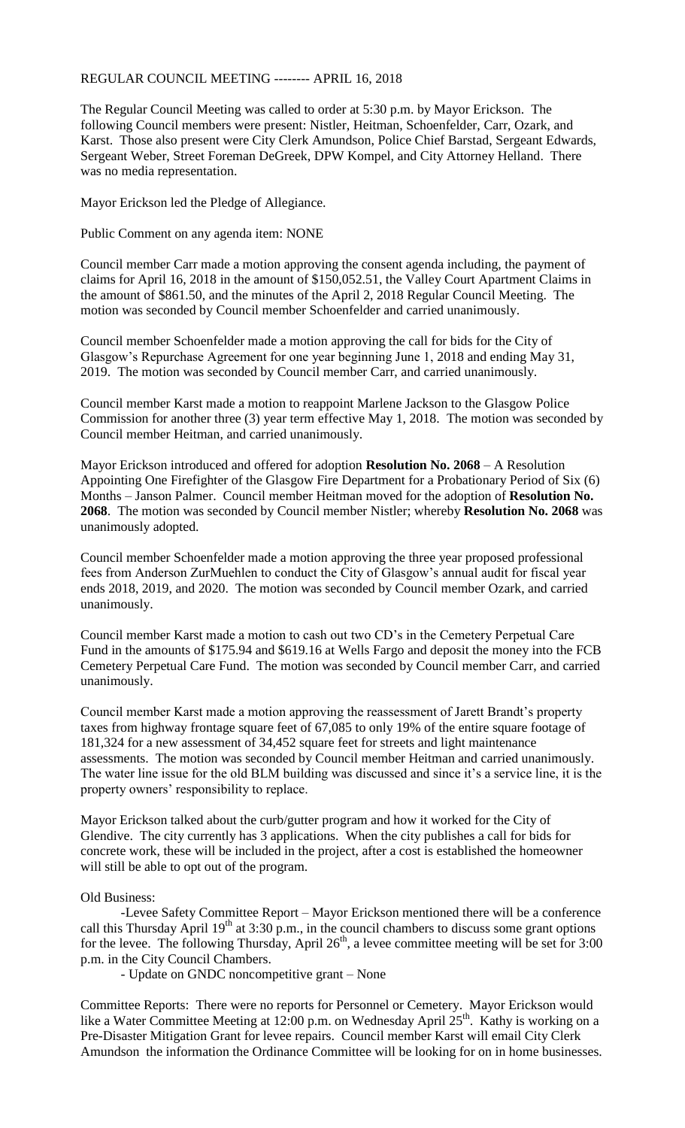## REGULAR COUNCIL MEETING -------- APRIL 16, 2018

The Regular Council Meeting was called to order at 5:30 p.m. by Mayor Erickson. The following Council members were present: Nistler, Heitman, Schoenfelder, Carr, Ozark, and Karst. Those also present were City Clerk Amundson, Police Chief Barstad, Sergeant Edwards, Sergeant Weber, Street Foreman DeGreek, DPW Kompel, and City Attorney Helland. There was no media representation.

Mayor Erickson led the Pledge of Allegiance.

Public Comment on any agenda item: NONE

Council member Carr made a motion approving the consent agenda including, the payment of claims for April 16, 2018 in the amount of \$150,052.51, the Valley Court Apartment Claims in the amount of \$861.50, and the minutes of the April 2, 2018 Regular Council Meeting. The motion was seconded by Council member Schoenfelder and carried unanimously.

Council member Schoenfelder made a motion approving the call for bids for the City of Glasgow's Repurchase Agreement for one year beginning June 1, 2018 and ending May 31, 2019. The motion was seconded by Council member Carr, and carried unanimously.

Council member Karst made a motion to reappoint Marlene Jackson to the Glasgow Police Commission for another three (3) year term effective May 1, 2018. The motion was seconded by Council member Heitman, and carried unanimously.

Mayor Erickson introduced and offered for adoption **Resolution No. 2068** – A Resolution Appointing One Firefighter of the Glasgow Fire Department for a Probationary Period of Six (6) Months – Janson Palmer. Council member Heitman moved for the adoption of **Resolution No. 2068**. The motion was seconded by Council member Nistler; whereby **Resolution No. 2068** was unanimously adopted.

Council member Schoenfelder made a motion approving the three year proposed professional fees from Anderson ZurMuehlen to conduct the City of Glasgow's annual audit for fiscal year ends 2018, 2019, and 2020. The motion was seconded by Council member Ozark, and carried unanimously.

Council member Karst made a motion to cash out two CD's in the Cemetery Perpetual Care Fund in the amounts of \$175.94 and \$619.16 at Wells Fargo and deposit the money into the FCB Cemetery Perpetual Care Fund. The motion was seconded by Council member Carr, and carried unanimously.

Council member Karst made a motion approving the reassessment of Jarett Brandt's property taxes from highway frontage square feet of 67,085 to only 19% of the entire square footage of 181,324 for a new assessment of 34,452 square feet for streets and light maintenance assessments. The motion was seconded by Council member Heitman and carried unanimously. The water line issue for the old BLM building was discussed and since it's a service line, it is the property owners' responsibility to replace.

Mayor Erickson talked about the curb/gutter program and how it worked for the City of Glendive. The city currently has 3 applications. When the city publishes a call for bids for concrete work, these will be included in the project, after a cost is established the homeowner will still be able to opt out of the program.

## Old Business:

-Levee Safety Committee Report – Mayor Erickson mentioned there will be a conference call this Thursday April  $19<sup>th</sup>$  at 3:30 p.m., in the council chambers to discuss some grant options for the levee. The following Thursday, April  $26<sup>th</sup>$ , a levee committee meeting will be set for 3:00 p.m. in the City Council Chambers.

- Update on GNDC noncompetitive grant – None

Committee Reports: There were no reports for Personnel or Cemetery. Mayor Erickson would like a Water Committee Meeting at 12:00 p.m. on Wednesday April 25<sup>th</sup>. Kathy is working on a Pre-Disaster Mitigation Grant for levee repairs. Council member Karst will email City Clerk Amundson the information the Ordinance Committee will be looking for on in home businesses.